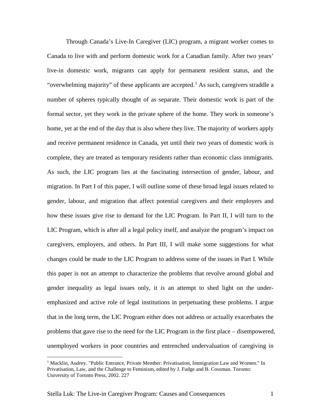Through Canada's Live-In Caregiver (LIC) program, a migrant worker comes to Canada to live with and perform domestic work for a Canadian family. After two years' live-in domestic work, migrants can apply for permanent resident status, and the "overwhelming majority" of these applicants are accepted.<sup>[1](#page-0-0)</sup> As such, caregivers straddle a number of spheres typically thought of as separate. Their domestic work is part of the formal sector, yet they work in the private sphere of the home. They work in someone's home, yet at the end of the day that is also where they live. The majority of workers apply and receive permanent residence in Canada, yet until their two years of domestic work is complete, they are treated as temporary residents rather than economic class immigrants. As such, the LIC program lies at the fascinating intersection of gender, labour, and migration. In Part I of this paper, I will outline some of these broad legal issues related to gender, labour, and migration that affect potential caregivers and their employers and how these issues give rise to demand for the LIC Program. In Part II, I will turn to the LIC Program, which is after all a legal policy itself, and analyze the program's impact on caregivers, employers, and others. In Part III, I will make some suggestions for what changes could be made to the LIC Program to address some of the issues in Part I. While this paper is not an attempt to characterize the problems that revolve around global and gender inequality as legal issues only, it *is* an attempt to shed light on the underemphasized and active role of legal institutions in perpetuating these problems. I argue that in the long term, the LIC Program either does not address or actually exacerbates the problems that gave rise to the need for the LIC Program in the first place – disempowered, unemployed workers in poor countries and entrenched undervaluation of caregiving in

<span id="page-0-0"></span><sup>&</sup>lt;sup>1</sup> Macklin, Audrey. "Public Entrance, Private Member: Privatisation, Immigration Law and Women." In Privatisation, Law, and the Challenge to Feminism, edited by J. Fudge and B. Cossman. Toronto: University of Toronto Press, 2002. 227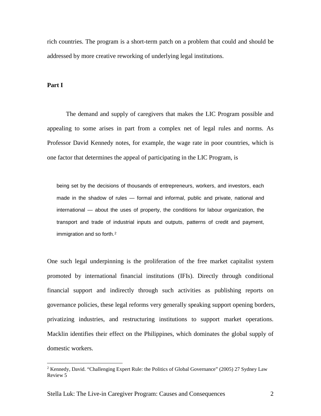rich countries. The program is a short-term patch on a problem that could and should be addressed by more creative reworking of underlying legal institutions.

## **Part I**

The demand and supply of caregivers that makes the LIC Program possible and appealing to some arises in part from a complex net of legal rules and norms. As Professor David Kennedy notes, for example, the wage rate in poor countries, which is one factor that determines the appeal of participating in the LIC Program, is

being set by the decisions of thousands of entrepreneurs, workers, and investors, each made in the shadow of rules — formal and informal, public and private, national and international — about the uses of property, the conditions for labour organization, the transport and trade of industrial inputs and outputs, patterns of credit and payment, immigration and so forth.<sup>[2](#page-1-0)</sup>

One such legal underpinning is the proliferation of the free market capitalist system promoted by international financial institutions (IFIs). Directly through conditional financial support and indirectly through such activities as publishing reports on governance policies, these legal reforms very generally speaking support opening borders, privatizing industries, and restructuring institutions to support market operations. Macklin identifies their effect on the Philippines, which dominates the global supply of domestic workers.

<span id="page-1-0"></span><sup>&</sup>lt;sup>2</sup> Kennedy, David. "Challenging Expert Rule: the Politics of Global Governance" (2005) 27 Sydney Law Review 5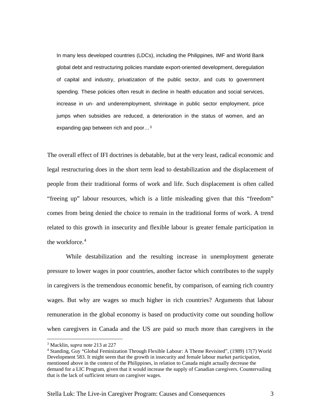In many less developed countries (LDCs), including the Philippines, IMF and World Bank global debt and restructuring policies mandate export-oriented development, deregulation of capital and industry, privatization of the public sector, and cuts to government spending. These policies often result in decline in health education and social services, increase in un- and underemployment, shrinkage in public sector employment, price jumps when subsidies are reduced, a deterioration in the status of women, and an expanding gap between rich and poor…[3](#page-2-0)

The overall effect of IFI doctrines is debatable, but at the very least, radical economic and legal restructuring does in the short term lead to destabilization and the displacement of people from their traditional forms of work and life. Such displacement is often called "freeing up" labour resources, which is a little misleading given that this "freedom" comes from being denied the choice to remain in the traditional forms of work. A trend related to this growth in insecurity and flexible labour is greater female participation in the workforce.<sup>[4](#page-2-1)</sup>

While destabilization and the resulting increase in unemployment generate pressure to lower wages in poor countries, another factor which contributes to the supply in caregivers is the tremendous economic benefit, by comparison, of earning rich country wages. But why are wages so much higher in rich countries? Arguments that labour remuneration in the global economy is based on productivity come out sounding hollow when caregivers in Canada and the US are paid so much more than caregivers in the

<span id="page-2-0"></span> <sup>3</sup> Macklin, *supra* note 213 at 227

<span id="page-2-1"></span><sup>4</sup> Standing, Guy "Global Feminization Through Flexible Labour: A Theme Revisited", (1989) 17(7) World Development 583. It might seem that the growth in insecurity and female labour market participation, mentioned above in the context of the Philippines, in relation to Canada might actually decrease the demand for a LIC Program, given that it would increase the supply of Canadian caregivers. Countervailing that is the lack of sufficient return on caregiver wages.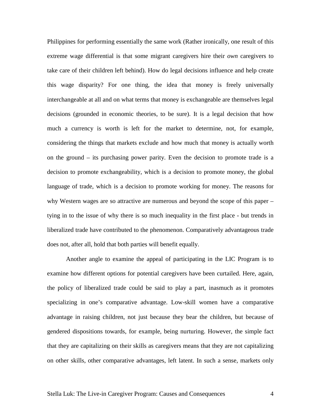Philippines for performing essentially the same work (Rather ironically, one result of this extreme wage differential is that some migrant caregivers hire their *own* caregivers to take care of their children left behind). How do legal decisions influence and help create this wage disparity? For one thing, the idea that money is freely universally interchangeable at all and on what terms that money is exchangeable are themselves legal decisions (grounded in economic theories, to be sure). It is a legal decision that how much a currency is worth is left for the market to determine, not, for example, considering the things that markets exclude and how much that money is actually worth on the ground – its purchasing power parity. Even the decision to promote trade is a decision to promote exchangeability, which is a decision to promote money, the global language of trade, which is a decision to promote working for money. The reasons for why Western wages are so attractive are numerous and beyond the scope of this paper – tying in to the issue of why there is so much inequality in the first place - but trends in liberalized trade have contributed to the phenomenon. Comparatively advantageous trade does not, after all, hold that both parties will benefit equally.

Another angle to examine the appeal of participating in the LIC Program is to examine how different options for potential caregivers have been curtailed. Here, again, the policy of liberalized trade could be said to play a part, inasmuch as it promotes specializing in one's comparative advantage. Low-skill women have a comparative advantage in raising children, not just because they bear the children, but because of gendered dispositions towards, for example, being nurturing. However, the simple fact that they are capitalizing on their skills as caregivers means that they are not capitalizing on other skills, other comparative advantages, left latent. In such a sense, markets only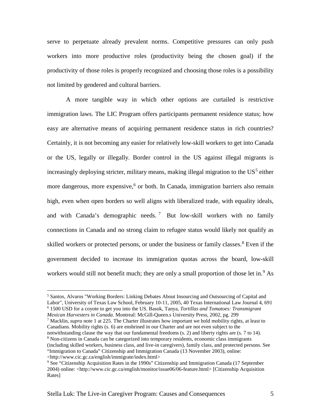serve to perpetuate already prevalent norms. Competitive pressures can only push workers into more productive roles (productivity being the chosen goal) if the productivity of those roles is properly recognized and choosing those roles is a possibility not limited by gendered and cultural barriers.

A more tangible way in which other options are curtailed is restrictive immigration laws. The LIC Program offers participants permanent residence status; how easy are alternative means of acquiring permanent residence status in rich countries? Certainly, it is not becoming any easier for relatively low-skill workers to get into Canada or the US, legally or illegally. Border control in the US against illegal migrants is increasingly deploying stricter, military means, making illegal migration to the  $US^5$  $US^5$  either more dangerous, more expensive, $6$  or both. In Canada, immigration barriers also remain high, even when open borders so well aligns with liberalized trade, with equality ideals, and with Canada's demographic needs. [7](#page-4-2) But low-skill workers with no family connections in Canada and no strong claim to refugee status would likely not qualify as skilled workers or protected persons, or under the business or family classes.<sup>[8](#page-4-3)</sup> Even if the government decided to increase its immigration quotas across the board, low-skill workers would still not benefit much; they are only a small proportion of those let in.<sup>[9](#page-4-4)</sup> As

<span id="page-4-1"></span>*Mexican Harvesters in Canada*. Montreal: McGill-Queen.s University Press, 2002, pg. 299 <sup>7</sup> Macklin, *supra* note 1 at 225. The Charter illustrates how important we hold mobility rights, at least to

<span id="page-4-2"></span>Canadians. Mobility rights (s. 6) are enshrined in our Charter and are not even subject to the notwithstanding clause the way that our fundamental freedoms (s. 2) and liberty rights are (s. 7 to 14).

<span id="page-4-0"></span> <sup>5</sup> Santos, Alvaros "Working Borders: Linking Debates About Insourcing and Outsourcing of Capital and Labor", University of Texas Law School, February 10-11, 2005, 40 Texas International Law Journal 4, 691 <sup>6</sup> 1500 USD for a coyote to get you into the US. Basok, Tanya, *Tortillas and Tomatoes: Transmigrant* 

<span id="page-4-3"></span> $8$  Non-citizens in Canada can be categorized into temporary residents, economic class immigrants (including skilled workers, business class, and live-in caregivers), family class, and protected persons. See "Immigration to Canada" Citizenship and Immigration Canada (13 November 2003), online: <http://www.cic.gc.ca/english/immigrate/index.html>

<span id="page-4-4"></span><sup>&</sup>lt;sup>9</sup> See "Citizenship Acquisition Rates in the 1990s" Citizenship and Immigration Canada (17 September 2004) online: [<http://www.cic.gc.ca/english/monitor/issue06/06-feature.html>](http://www.cic.gc.ca/english/monitor/issue06/06-feature.html) [Citizenship Acquisition Rates]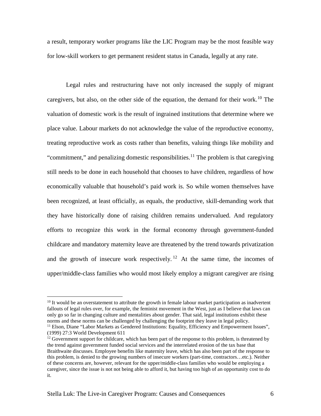a result, temporary worker programs like the LIC Program may be the most feasible way for low-skill workers to get permanent resident status in Canada, legally at any rate.

Legal rules and restructuring have not only increased the supply of migrant caregivers, but also, on the other side of the equation, the demand for their work.<sup>[10](#page-5-0)</sup> The valuation of domestic work is the result of ingrained institutions that determine where we place value. Labour markets do not acknowledge the value of the reproductive economy, treating reproductive work as costs rather than benefits, valuing things like mobility and "commitment," and penalizing domestic responsibilities.<sup>[11](#page-5-1)</sup> The problem is that caregiving still needs to be done in each household that chooses to have children, regardless of how economically valuable that household's paid work is. So while women themselves have been recognized, at least officially, as equals, the productive, skill-demanding work that they have historically done of raising children remains undervalued. And regulatory efforts to recognize this work in the formal economy through government-funded childcare and mandatory maternity leave are threatened by the trend towards privatization and the growth of insecure work respectively.<sup>[12](#page-5-2)</sup> At the same time, the incomes of upper/middle-class families who would most likely employ a migrant caregiver are rising

<span id="page-5-0"></span> $10$  It would be an overstatement to attribute the growth in female labour market participation as inadvertent fallouts of legal rules over, for example, the feminist movement in the West, just as I believe that laws can only go so far in changing culture and mentalities about gender. That said, legal institutions exhibit these norms and these norms can be challenged by challenging the footprint they leave in legal policy.

<span id="page-5-1"></span><sup>&</sup>lt;sup>11</sup> Elson, Diane "Labor Markets as Gendered Institutions: Equality, Efficiency and Empowerment Issues", (1999) 27:3 World Development 611

<span id="page-5-2"></span> $12$  Government support for childcare, which has been part of the response to this problem, is threatened by the trend against government funded social services and the interrelated erosion of the tax base that Braithwaite discusses. Employee benefits like maternity leave, which has also been part of the response to this problem, is denied to the growing numbers of insecure workers (part-time, contractors…etc.). Neither of these concerns are, however, relevant for the upper/middle-class families who would be employing a caregiver, since the issue is not not being able to afford it, but having too high of an opportunity cost to do it.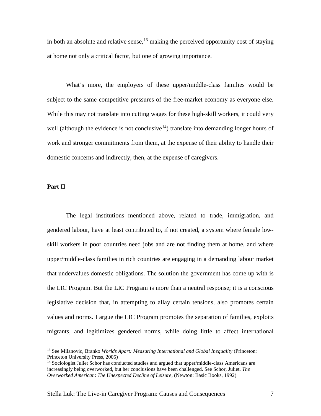in both an absolute and relative sense,  $^{13}$  $^{13}$  $^{13}$  making the perceived opportunity cost of staying at home not only a critical factor, but one of growing importance.

What's more, the employers of these upper/middle-class families would be subject to the same competitive pressures of the free-market economy as everyone else. While this may not translate into cutting wages for these high-skill workers, it could very well (although the evidence is not conclusive<sup>14</sup>) translate into demanding longer hours of work and stronger commitments from them, at the expense of their ability to handle their domestic concerns and indirectly, then, at the expense of caregivers.

## **Part II**

The legal institutions mentioned above, related to trade, immigration, and gendered labour, have at least contributed to, if not created, a system where female lowskill workers in poor countries need jobs and are not finding them at home, and where upper/middle-class families in rich countries are engaging in a demanding labour market that undervalues domestic obligations. The solution the government has come up with is the LIC Program. But the LIC Program is more than a neutral response; it is a conscious legislative decision that, in attempting to allay certain tensions, also promotes certain values and norms. I argue the LIC Program promotes the separation of families, exploits migrants, and legitimizes gendered norms, while doing little to affect international

<span id="page-6-0"></span> <sup>13</sup> See Milanovic, Branko *Worlds Apart: Measuring International and Global Inequality* (Princeton: Princeton University Press, 2005)

<span id="page-6-1"></span><sup>&</sup>lt;sup>14</sup> Sociologist Juliet Schor has conducted studies and argued that upper/middle-class Americans are increasingly being overworked, but her conclusions have been challenged. See Schor, Juliet. *The Overworked American*: *The Unexpected Decline of Leisure*, (Newton: Basic Books, 1992)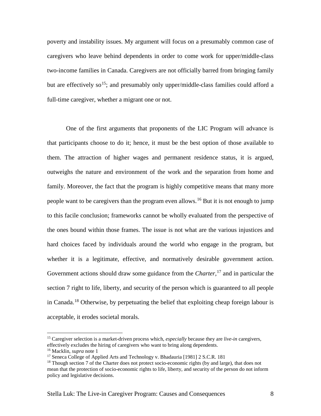poverty and instability issues. My argument will focus on a presumably common case of caregivers who leave behind dependents in order to come work for upper/middle-class two-income families in Canada. Caregivers are not officially barred from bringing family but are effectively so<sup>[15](#page-7-0)</sup>; and presumably only upper/middle-class families could afford a full-time caregiver, whether a migrant one or not.

One of the first arguments that proponents of the LIC Program will advance is that participants choose to do it; hence, it must be the best option of those available to them. The attraction of higher wages and permanent residence status, it is argued, outweighs the nature and environment of the work and the separation from home and family. Moreover, the fact that the program is highly competitive means that many more people want to be caregivers than the program even allows.<sup>[16](#page-7-1)</sup> But it is not enough to jump to this facile conclusion; frameworks cannot be wholly evaluated from the perspective of the ones bound within those frames. The issue is not what are the various injustices and hard choices faced by individuals around the world who engage in the program, but whether it is a legitimate, effective, and normatively desirable government action. Government actions should draw some guidance from the *Charter,*[17](#page-7-2) and in particular the section 7 right to life, liberty, and security of the person which is guaranteed to all people in Canada.<sup>[18](#page-7-3)</sup> Otherwise, by perpetuating the belief that exploiting cheap foreign labour is acceptable, it erodes societal morals.

<span id="page-7-0"></span> <sup>15</sup> Caregiver selection is a market-driven process which, *especially* because they are *live-in* caregivers, effectively excludes the hiring of caregivers who want to bring along dependents.

<span id="page-7-2"></span><span id="page-7-1"></span><sup>&</sup>lt;sup>16</sup> Macklin, *supra* note 1<br><sup>17</sup> Seneca College of Applied Arts and Technology v. Bhadauria [1981] 2 S.C.R. 181

<span id="page-7-3"></span> $18$  Though section 7 of the Charter does not protect socio-economic rights (by and large), that does not mean that the protection of socio-economic rights to life, liberty, and security of the person do not inform policy and legislative decisions.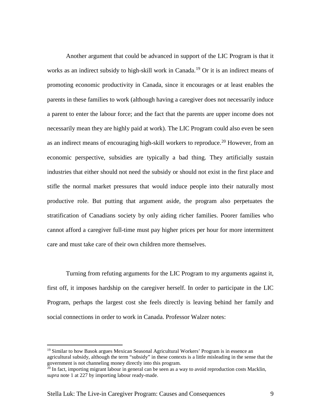Another argument that could be advanced in support of the LIC Program is that it works as an indirect subsidy to high-skill work in Canada.<sup>[19](#page-8-0)</sup> Or it is an indirect means of promoting economic productivity in Canada, since it encourages or at least enables the parents in these families to work (although having a caregiver does not necessarily induce a parent to enter the labour force; and the fact that the parents are upper income does not necessarily mean they are highly paid at work). The LIC Program could also even be seen as an indirect means of encouraging high-skill workers to reproduce.<sup>[20](#page-8-1)</sup> However, from an economic perspective, subsidies are typically a bad thing. They artificially sustain industries that either should not need the subsidy or should not exist in the first place and stifle the normal market pressures that would induce people into their naturally most productive role. But putting that argument aside, the program also perpetuates the stratification of Canadians society by only aiding richer families. Poorer families who cannot afford a caregiver full-time must pay higher prices per hour for more intermittent care and must take care of their own children more themselves.

Turning from refuting arguments for the LIC Program to my arguments against it, first off, it imposes hardship on the caregiver herself. In order to participate in the LIC Program, perhaps the largest cost she feels directly is leaving behind her family and social connections in order to work in Canada. Professor Walzer notes:

<span id="page-8-0"></span><sup>&</sup>lt;sup>19</sup> Similar to how Basok argues Mexican Seasonal Agricultural Workers' Program is in essence an agricultural subsidy, although the term "subsidy" in these contexts is a little misleading in the sense that the government is not channeling money directly into this program.

<span id="page-8-1"></span><sup>&</sup>lt;sup>20</sup> In fact, importing migrant labour in general can be seen as a way to avoid reproduction costs Macklin, *supra* note 1 at 227 by importing labour ready-made.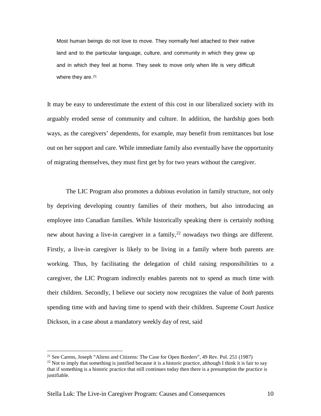Most human beings do not love to move. They normally feel attached to their native land and to the particular language, culture, and community in which they grew up and in which they feel at home. They seek to move only when life is very difficult where they are.<sup>[21](#page-9-0)</sup>

It may be easy to underestimate the extent of this cost in our liberalized society with its arguably eroded sense of community and culture. In addition, the hardship goes both ways, as the caregivers' dependents, for example, may benefit from remittances but lose out on her support and care. While immediate family also eventually have the opportunity of migrating themselves, they must first get by for two years without the caregiver.

The LIC Program also promotes a dubious evolution in family structure, not only by depriving developing country families of their mothers, but also introducing an employee into Canadian families. While historically speaking there is certainly nothing new about having a live-in caregiver in a family,  $2^2$  nowadays two things are different. Firstly, a live-in caregiver is likely to be living in a family where both parents are working. Thus, by facilitating the delegation of child raising responsibilities to a caregiver, the LIC Program indirectly enables parents not to spend as much time with their children. Secondly, I believe our society now recognizes the value of *both* parents spending time with and having time to spend with their children. Supreme Court Justice Dickson, in a case about a mandatory weekly day of rest, said

<span id="page-9-0"></span> <sup>21</sup> See Carens, Joseph "Aliens and Citizens: The Case for Open Borders", 49 Rev. Pol. 251 (1987)

<span id="page-9-1"></span><sup>&</sup>lt;sup>22</sup> Not to imply that something is justified because it is a historic practice, although I think it is fair to say that if something is a historic practice that still continues today then there is a presumption the practice is justifiable.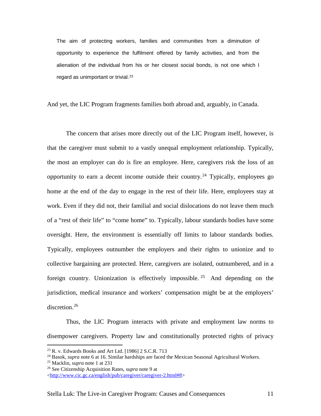The aim of protecting workers, families and communities from a diminution of opportunity to experience the fulfilment offered by family activities, and from the alienation of the individual from his or her closest social bonds, is not one which I regard as unimportant or trivial.<sup>[23](#page-10-0)</sup>

And yet, the LIC Program fragments families both abroad and, arguably, in Canada.

The concern that arises more directly out of the LIC Program itself, however, is that the caregiver must submit to a vastly unequal employment relationship. Typically, the most an employer can do is fire an employee. Here, caregivers risk the loss of an opportunity to earn a decent income outside their country.<sup>[24](#page-10-1)</sup> Typically, employees go home at the end of the day to engage in the rest of their life. Here, employees stay at work. Even if they did not, their familial and social dislocations do not leave them much of a "rest of their life" to "come home" to. Typically, labour standards bodies have some oversight. Here, the environment is essentially off limits to labour standards bodies. Typically, employees outnumber the employers and their rights to unionize and to collective bargaining are protected. Here, caregivers are isolated, outnumbered, and in a foreign country. Unionization is effectively impossible. <sup>[25](#page-10-2)</sup> And depending on the jurisdiction, medical insurance and workers' compensation might be at the employers' discretion.<sup>[26](#page-10-3)</sup>

Thus, the LIC Program interacts with private and employment law norms to disempower caregivers. Property law and constitutionally protected rights of privacy

<span id="page-10-0"></span> <sup>23</sup> R. v. Edwards Books and Art Ltd. [1986] 2 S.C.R. 713

<span id="page-10-1"></span><sup>24</sup> Basok, *supra* note 6 at 16. Similar hardships are faced the Mexican Seasonal Agricultural Workers.

<span id="page-10-2"></span><sup>25</sup> Macklin, *supra* note 1 at 231

<span id="page-10-3"></span><sup>26</sup> See Citizenship Acquisition Rates, *supra* note 9 at

[<sup>&</sup>lt;http://www.cic.gc.ca/english/pub/caregiver/caregiver-2.html#8>](http://www.cic.gc.ca/english/pub/caregiver/caregiver-2.html#8)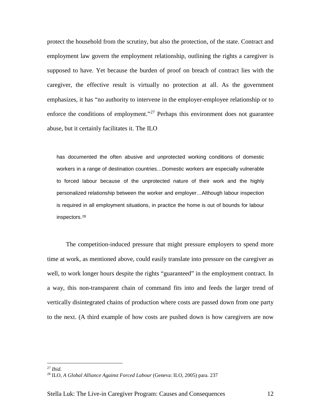protect the household from the scrutiny, but also the protection, of the state. Contract and employment law govern the employment relationship, outlining the rights a caregiver is supposed to have. Yet because the burden of proof on breach of contract lies with the caregiver, the effective result is virtually no protection at all. As the government emphasizes, it has "no authority to intervene in the employer-employee relationship or to enforce the conditions of employment."[27](#page-11-0) Perhaps this environment does not guarantee abuse, but it certainly facilitates it. The ILO

has documented the often abusive and unprotected working conditions of domestic workers in a range of destination countries…Domestic workers are especially vulnerable to forced labour because of the unprotected nature of their work and the highly personalized relationship between the worker and employer…Although labour inspection is required in all employment situations, in practice the home is out of bounds for labour inspectors.[28](#page-11-1)

The competition-induced pressure that might pressure employers to spend more time at work, as mentioned above, could easily translate into pressure on the caregiver as well, to work longer hours despite the rights "guaranteed" in the employment contract. In a way, this non-transparent chain of command fits into and feeds the larger trend of vertically disintegrated chains of production where costs are passed down from one party to the next. (A third example of how costs are pushed down is how caregivers are now

<span id="page-11-0"></span> <sup>27</sup> *Ibid*.

<span id="page-11-1"></span><sup>28</sup> ILO, *A Global Alliance Against Forced Labour* (Geneva: ILO, 2005) para. 237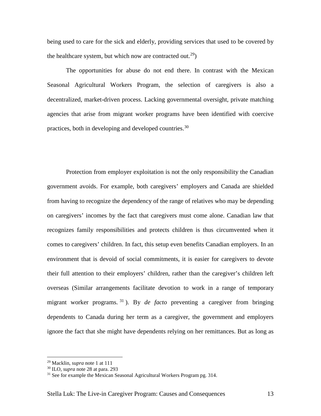being used to care for the sick and elderly, providing services that used to be covered by the healthcare system, but which now are contracted out.<sup>[29](#page-12-0)</sup>)

The opportunities for abuse do not end there. In contrast with the Mexican Seasonal Agricultural Workers Program, the selection of caregivers is also a decentralized, market-driven process. Lacking governmental oversight, private matching agencies that arise from migrant worker programs have been identified with coercive practices, both in developing and developed countries.[30](#page-12-1)

Protection from employer exploitation is not the only responsibility the Canadian government avoids. For example, both caregivers' employers and Canada are shielded from having to recognize the dependency of the range of relatives who may be depending on caregivers' incomes by the fact that caregivers must come alone. Canadian law that recognizes family responsibilities and protects children is thus circumvented when it comes to caregivers' children. In fact, this setup even benefits Canadian employers. In an environment that is devoid of social commitments, it is easier for caregivers to devote their full attention to their employers' children, rather than the caregiver's children left overseas (Similar arrangements facilitate devotion to work in a range of temporary migrant worker programs. [31](#page-12-2) ). By *de facto* preventing a caregiver from bringing dependents to Canada during her term as a caregiver, the government and employers ignore the fact that she might have dependents relying on her remittances. But as long as

<span id="page-12-0"></span> <sup>29</sup> Macklin, *supra* note 1 at 111

<span id="page-12-1"></span><sup>30</sup> ILO, *supra* note 28 at para. 293

<span id="page-12-2"></span><sup>&</sup>lt;sup>31</sup> See for example the Mexican Seasonal Agricultural Workers Program pg. 314.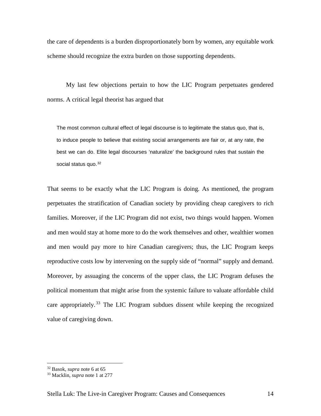the care of dependents is a burden disproportionately born by women, any equitable work scheme should recognize the extra burden on those supporting dependents.

My last few objections pertain to how the LIC Program perpetuates gendered norms. A critical legal theorist has argued that

The most common cultural effect of legal discourse is to legitimate the status quo, that is, to induce people to believe that existing social arrangements are fair or, at any rate, the best we can do. Elite legal discourses 'naturalize' the background rules that sustain the social status quo. [32](#page-13-0)

That seems to be exactly what the LIC Program is doing. As mentioned, the program perpetuates the stratification of Canadian society by providing cheap caregivers to rich families. Moreover, if the LIC Program did not exist, two things would happen. Women and men would stay at home more to do the work themselves and other, wealthier women and men would pay more to hire Canadian caregivers; thus, the LIC Program keeps reproductive costs low by intervening on the supply side of "normal" supply and demand. Moreover, by assuaging the concerns of the upper class, the LIC Program defuses the political momentum that might arise from the systemic failure to valuate affordable child care appropriately.<sup>[33](#page-13-1)</sup> The LIC Program subdues dissent while keeping the recognized value of caregiving down.

 <sup>32</sup> Basok, *supra* note 6 at 65

<span id="page-13-1"></span><span id="page-13-0"></span><sup>33</sup> Macklin, *supra* note 1 at 277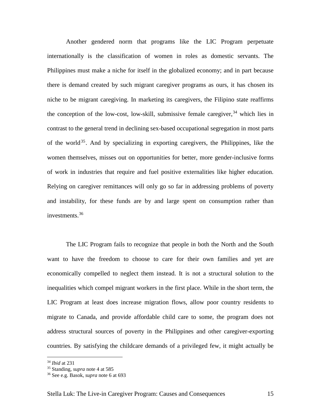Another gendered norm that programs like the LIC Program perpetuate internationally is the classification of women in roles as domestic servants. The Philippines must make a niche for itself in the globalized economy; and in part because there is demand created by such migrant caregiver programs as ours, it has chosen its niche to be migrant caregiving. In marketing its caregivers, the Filipino state reaffirms the conception of the low-cost, low-skill, submissive female caregiver,  $34$  which lies in contrast to the general trend in declining sex-based occupational segregation in most parts of the world<sup>[35](#page-14-1)</sup>. And by specializing in exporting caregivers, the Philippines, like the women themselves, misses out on opportunities for better, more gender-inclusive forms of work in industries that require and fuel positive externalities like higher education. Relying on caregiver remittances will only go so far in addressing problems of poverty and instability, for these funds are by and large spent on consumption rather than investments.[36](#page-14-2)

The LIC Program fails to recognize that people in both the North and the South want to have the freedom to choose to care for their own families and yet are economically compelled to neglect them instead. It is not a structural solution to the inequalities which compel migrant workers in the first place. While in the short term, the LIC Program at least does increase migration flows, allow poor country residents to migrate to Canada, and provide affordable child care to some, the program does not address structural sources of poverty in the Philippines and other caregiver-exporting countries. By satisfying the childcare demands of a privileged few, it might actually be

 <sup>34</sup> *Ibid* at 231

<span id="page-14-1"></span><span id="page-14-0"></span><sup>35</sup> Standing, *supra* note 4 at 585

<span id="page-14-2"></span><sup>36</sup> See e.g. Basok, *supra* note 6 at 693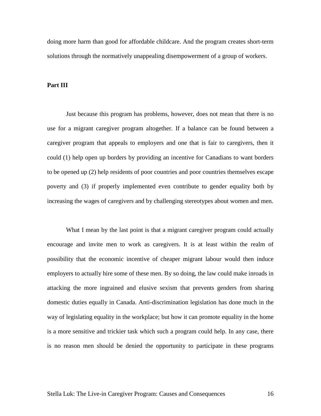doing more harm than good for affordable childcare. And the program creates short-term solutions through the normatively unappealing disempowerment of a group of workers.

## **Part III**

Just because this program has problems, however, does not mean that there is no use for a migrant caregiver program altogether. If a balance can be found between a caregiver program that appeals to employers and one that is fair to caregivers, then it could (1) help open up borders by providing an incentive for Canadians to want borders to be opened up (2) help residents of poor countries and poor countries themselves escape poverty and (3) if properly implemented even contribute to gender equality both by increasing the wages of caregivers and by challenging stereotypes about women and men.

What I mean by the last point is that a migrant caregiver program could actually encourage and invite men to work as caregivers. It is at least within the realm of possibility that the economic incentive of cheaper migrant labour would then induce employers to actually hire some of these men. By so doing, the law could make inroads in attacking the more ingrained and elusive sexism that prevents genders from sharing domestic duties equally in Canada. Anti-discrimination legislation has done much in the way of legislating equality in the workplace; but how it can promote equality in the home is a more sensitive and trickier task which such a program could help. In any case, there is no reason men should be denied the opportunity to participate in these programs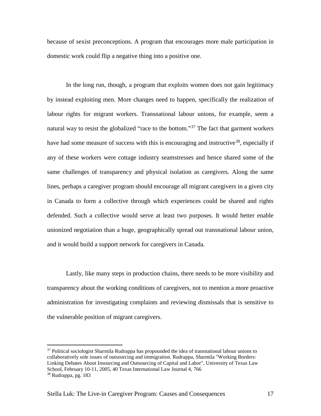because of sexist preconceptions. A program that encourages more male participation in domestic work could flip a negative thing into a positive one.

In the long run, though, a program that exploits women does not gain legitimacy by instead exploiting men. More changes need to happen, specifically the realization of labour rights for migrant workers. Transnational labour unions, for example, seem a natural way to resist the globalized "race to the bottom."<sup>[37](#page-16-0)</sup> The fact that garment workers have had some measure of success with this is encouraging and instructive<sup>38</sup>, especially if any of these workers were cottage industry seamstresses and hence shared some of the same challenges of transparency and physical isolation as caregivers. Along the same lines, perhaps a caregiver program should encourage all migrant caregivers in a given city in Canada to form a collective through which experiences could be shared and rights defended. Such a collective would serve at least two purposes. It would better enable unionized negotiation than a huge, geographically spread out transnational labour union, and it would build a support network for caregivers in Canada.

Lastly, like many steps in production chains, there needs to be more visibility and transparency about the working conditions of caregivers, not to mention a more proactive administration for investigating complaints and reviewing dismissals that is sensitive to the vulnerable position of migrant caregivers.

<span id="page-16-0"></span> $37$  Political sociologist Sharmila Rudrappa has propounded the idea of transnational labour unions to collaboratively sole issues of outsourcing and immigration. Rudrappa, Sharmila "Working Borders: Linking Debates About Insourcing and Outsourcing of Capital and Labor", University of Texas Law School, February 10-11, 2005, 40 Texas International Law Journal 4, 766 <sup>38</sup> Rudrappa, pg. 183

<span id="page-16-1"></span>Stella Luk: The Live-in Caregiver Program: Causes and Consequences 17